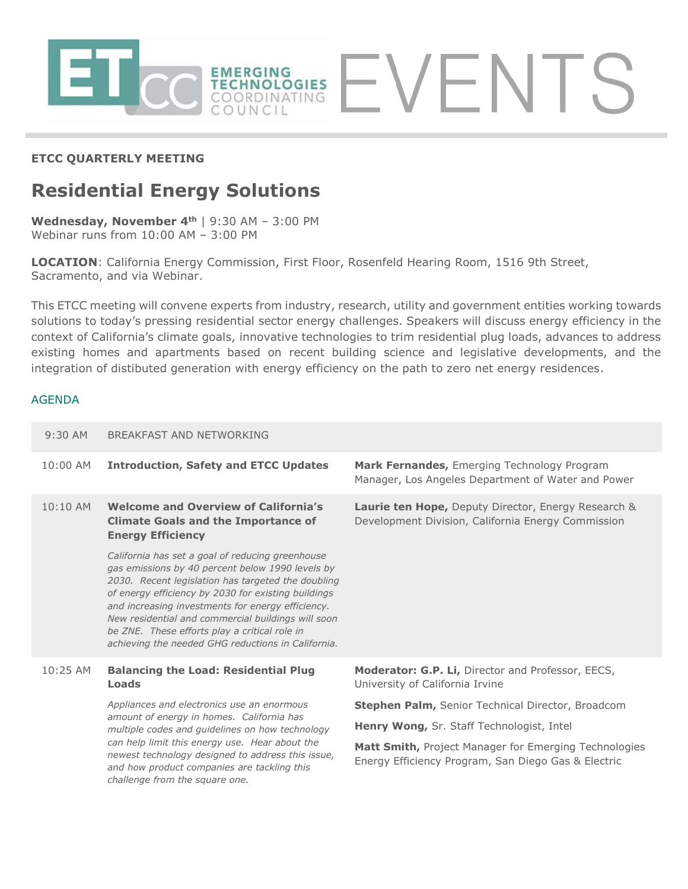

## **ETCC QUARTERLY MEETING**

# **Residential Energy Solutions**

**Wednesday, November 4th** | 9:30 AM – 3:00 PM Webinar runs from 10:00 AM – 3:00 PM

**LOCATION**: California Energy Commission, First Floor, Rosenfeld Hearing Room, 1516 9th Street, Sacramento, and via Webinar.

This ETCC meeting will convene experts from industry, research, utility and government entities working towards solutions to today's pressing residential sector energy challenges. Speakers will discuss energy efficiency in the context of California's climate goals, innovative technologies to trim residential plug loads, advances to address existing homes and apartments based on recent building science and legislative developments, and the integration of distibuted generation with energy efficiency on the path to zero net energy residences.

#### AGENDA

| $9:30$ AM  | <b>BREAKFAST AND NETWORKING</b>                                                                                                                                                                                                                                                                                                                                                                                                     |                                                                                                              |
|------------|-------------------------------------------------------------------------------------------------------------------------------------------------------------------------------------------------------------------------------------------------------------------------------------------------------------------------------------------------------------------------------------------------------------------------------------|--------------------------------------------------------------------------------------------------------------|
| 10:00 AM   | <b>Introduction, Safety and ETCC Updates</b>                                                                                                                                                                                                                                                                                                                                                                                        | Mark Fernandes, Emerging Technology Program<br>Manager, Los Angeles Department of Water and Power            |
| $10:10$ AM | <b>Welcome and Overview of California's</b><br><b>Climate Goals and the Importance of</b><br><b>Energy Efficiency</b>                                                                                                                                                                                                                                                                                                               | Laurie ten Hope, Deputy Director, Energy Research &<br>Development Division, California Energy Commission    |
|            | California has set a goal of reducing greenhouse<br>gas emissions by 40 percent below 1990 levels by<br>2030. Recent legislation has targeted the doubling<br>of energy efficiency by 2030 for existing buildings<br>and increasing investments for energy efficiency.<br>New residential and commercial buildings will soon<br>be ZNE. These efforts play a critical role in<br>achieving the needed GHG reductions in California. |                                                                                                              |
| $10:25$ AM | <b>Balancing the Load: Residential Plug</b><br><b>Loads</b>                                                                                                                                                                                                                                                                                                                                                                         | Moderator: G.P. Li, Director and Professor, EECS,<br>University of California Irvine                         |
|            | Appliances and electronics use an enormous<br>amount of energy in homes. California has<br>multiple codes and quidelines on how technology<br>can help limit this energy use. Hear about the<br>newest technology designed to address this issue,<br>and how product companies are tackling this<br>challenge from the square one.                                                                                                  | Stephen Palm, Senior Technical Director, Broadcom                                                            |
|            |                                                                                                                                                                                                                                                                                                                                                                                                                                     | Henry Wong, Sr. Staff Technologist, Intel                                                                    |
|            |                                                                                                                                                                                                                                                                                                                                                                                                                                     | Matt Smith, Project Manager for Emerging Technologies<br>Energy Efficiency Program, San Diego Gas & Electric |